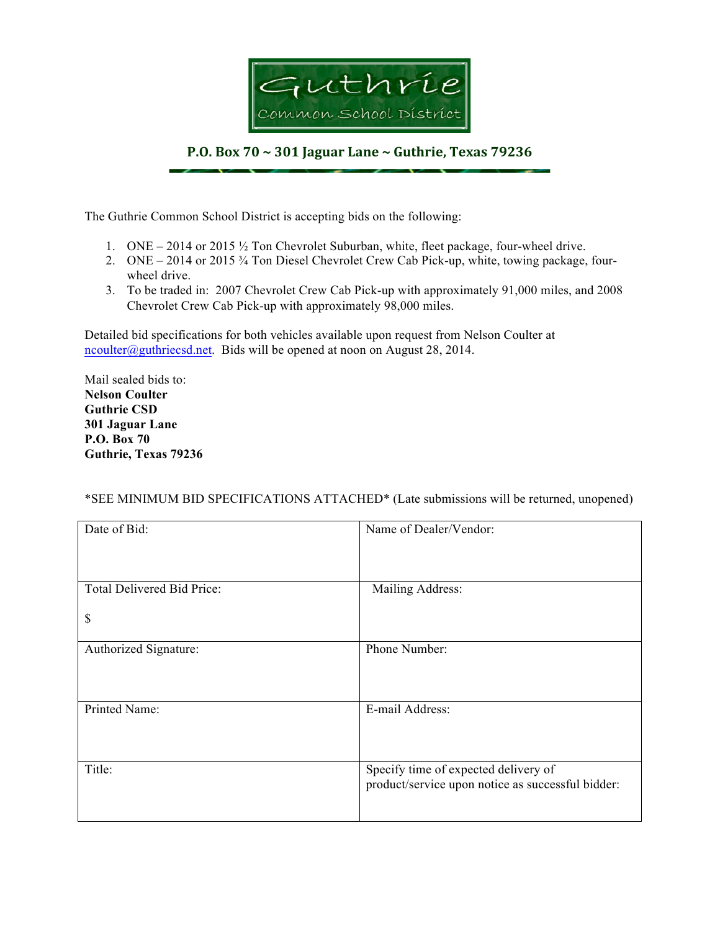

## **P.O. Box 70 ~ 301 Jaguar Lane ~ Guthrie, Texas 79236**

The Guthrie Common School District is accepting bids on the following:

- 1. ONE 2014 or 2015 ½ Ton Chevrolet Suburban, white, fleet package, four-wheel drive.
- 2. ONE 2014 or 2015 ¾ Ton Diesel Chevrolet Crew Cab Pick-up, white, towing package, fourwheel drive.
- 3. To be traded in: 2007 Chevrolet Crew Cab Pick-up with approximately 91,000 miles, and 2008 Chevrolet Crew Cab Pick-up with approximately 98,000 miles.

Detailed bid specifications for both vehicles available upon request from Nelson Coulter at ncoulter@guthriecsd.net. Bids will be opened at noon on August 28, 2014.

Mail sealed bids to: **Nelson Coulter Guthrie CSD 301 Jaguar Lane P.O. Box 70 Guthrie, Texas 79236**

## \*SEE MINIMUM BID SPECIFICATIONS ATTACHED\* (Late submissions will be returned, unopened)

| Date of Bid:               | Name of Dealer/Vendor:                                                                    |
|----------------------------|-------------------------------------------------------------------------------------------|
|                            |                                                                                           |
| Total Delivered Bid Price: | Mailing Address:                                                                          |
| \$                         |                                                                                           |
| Authorized Signature:      | Phone Number:                                                                             |
| Printed Name:              | E-mail Address:                                                                           |
| Title:                     | Specify time of expected delivery of<br>product/service upon notice as successful bidder: |